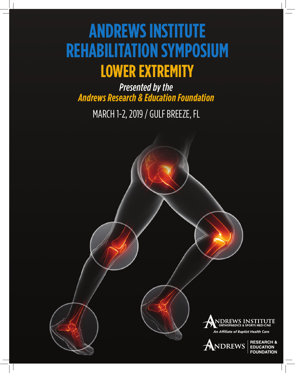# **ANDREWS INSTITUTE REHABILITATION SYMPOSIUM LOWER EXTREMITY**

*Presented by the Andrews Research & Education Foundation*

MARCH 1-2, 2019 / GULF BREEZE, FL

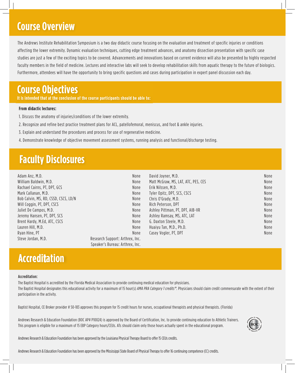### **Course Overview**

The Andrews Institute Rehabilitation Symposium is a two day didactic course focusing on the evaluation and treatment of specific injuries or conditions affecting the lower extremity. Dynamic evaluation techniques, cutting edge treatment advances, and anatomy dissection presentation with specific case studies are just a few of the exciting topics to be covered. Advancements and innovations based on current evidence will also be presented by highly respected faculty members in the field of medicine. Lectures and interactive labs will seek to develop rehabilitation skills from aquatic therapy to the future of biologics. Furthermore, attendees will have the opportunity to bring specific questions and cases during participation in expert panel discussion each day.

### **Course Objectives**

**It is intended that at the conclusion of the course participants should be able to:**

### **From didactic lectures:**

- 1. Discuss the anatomy of injuries/conditions of the lower extremity.
- 2. Recognize and refine best practice treatment plans for ACL, patellofemoral, meniscus, and foot & ankle injuries.
- 3. Explain and understand the procedures and process for use of regenerative medicine.
- 4. Demonstrate knowledge of objective movement assessment systems, running analysis and functional/discharge testing.

## **Faculty Disclosures**

| Adam Anz, M.D.                       | None                            | David Joyner, M.D.                  | None |
|--------------------------------------|---------------------------------|-------------------------------------|------|
| William Baldwin, M.D.                | None                            | Matt McGraw, MS, LAT, ATC, PES, CES | None |
| Rachael Cairns, PT, DPT, GCS         | None                            | Erik Nilssen, M.D.                  | None |
| Mark Callanan, M.D.                  | None                            | Tyler Opitz, DPT, SCS, CSCS         | None |
| Bob Calvin, MS, RD, CSSD, CSCS, LD/N | None                            | Chris O'Grady, M.D.                 | None |
| Will Coggin, PT, DPT, CSCS           | None                            | Rich Peterson, DPT                  | None |
| Juliet De Campos, M.D.               | None                            | Ashley Pittman, PT, DPT, AIB-VR     | None |
| Jeremy Hansen, PT, DPT, SCS          | None                            | Ashley Ramsay, MS, ATC, LAT         | None |
| Brent Hardy, M.Ed, ATC, CSCS         | None                            | G. Daxton Steele, M.D.              | None |
| Lauren Hill, M.D.                    | None                            | Huaiyu Tan, M.D., Ph.D.             | None |
| Ryan Hine, PT                        | None                            | Casey Vogler, PT, DPT               | None |
| Steve Jordan, M.D.                   | Research Support: Arthrex, Inc. |                                     |      |
|                                      | Speaker's Bureau: Arthrex, Inc. |                                     |      |

# **Accreditation**

#### Accreditation:

The Baptist Hospital is accredited by the Florida Medical Association to provide continuing medical education for physicians. The Baptist Hospital designates this educational activity for a maximum of 15 hour(s) *AMA PRA Category 1 credits™.* Physicians should claim credit commensurate with the extent of their participation in the activity.

Baptist Hospital, CE Broker provider # 50-183 approves this program for 15 credit hours for nurses, occupational therapists and physical therapists. (Florida)

Andrews Research & Education Foundation (BOC AP# P10024) is approved by the Board of Certification, Inc. to provide continuing education to Athletic Trainers. This program is eligible for a maximum of 15 EBP Category hours/CEUs. ATs should claim only those hours actually spent in the educational program.



Andrews Research & Education Foundation has been approved by the Louisiana Physical Therapy Board to offer 15 CEUs credits.

Andrews Research & Education Foundation has been approved by the Mississippi State Board of Physical Therapy to offer 16 continuing competence (CC) credits.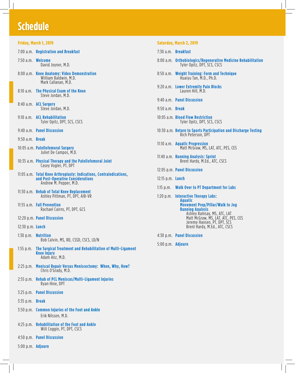### **Schedule**

#### Friday, March 1, 2019

- 7:00 a.m. **Registration and Breakfast**
- 7:50 a.m. **Welcome** David Joyner, M.D.
- 8:00 a.m. **Knee Anatomy: Video Demonstration** William Baldwin, M.D. Mark Callanan, M.D.
- 8:10 a.m. **The Physical Exam of the Knee** Steve Jordan, M.D.
- 8:40 a.m. **ACL Surgery** Steve Jordan, M.D.
- 9:10 a.m. **ACL Rehabilitation** Tyler Opitz, DPT, SCS, CSCS
- 9:40 a.m. **Panel Discussion**
- 9:50 a.m. **Break**
- 10:05 a.m. **Patellofemoral Surgery** Juliet De Campos, M.D.
- 10:35 a.m. **Physical Therapy and the Patellofemoral Joint** Casey Vogler, PT, DPT
- 11:05 a.m. **Total Knee Arthroplasty: Indications, Contraindications, and Post-Operative Considerations** Andrew M. Pepper, M.D.
- 11:30 a.m. **Rehab of Total Knee Replacement** Ashley Pittman, PT, DPT, AIB-VR
- 11:55 a.m. **Fall Prevention** Rachael Cairns, PT, DPT, GCS
- 12:20 p.m. **Panel Discussion**
- 12:30 p.m. **Lunch**
- 1:30 p.m. **Nutrition**  Bob Calvin, MS, RD, CSSD, CSCS, LD/N
- 1:55 p.m. **The Surgical Treatment and Rehabilitation of Multi-Ligament Knee Injury**  Adam Anz, M.D.
- 2:25 p.m. **Meniscal Repair Versus Meniscectomy: When, Why, How?** Chris O'Grady, M.D.
- 2:55 p.m. **Rehab of PCL Meniscus/Multi-Ligament Injuries** Ryan Hine, DPT
- 3:25 p.m. **Panel Discussion**
- 3:35 p.m. **Break**
- 3:50 p.m. **Common Injuries of the Foot and Ankle** Erik Nilssen, M.D.
- 4:25 p.m. **Rehabilitation of the Foot and Ankle** Will Coggin, PT, DPT, CSCS
- 4:50 p.m. **Panel Discussion**
- 5:00 p.m. **Adjourn**

#### Saturday, March 2, 2019

7:30 a.m. **Breakfast**

- 8:00 a.m. **Orthobiologics/Regenerative Medicine Rehabilitation** Tyler Opitz, DPT, SCS, CSCS
- 8:50 a.m. **Weight Training: Form and Technique** Huaiyu Tan, M.D., Ph.D.
- 9:20 a.m. **Lower Extremity Pain Blocks** Lauren Hill, M.D.
- 9:40 a.m. **Panel Discussion**
- 9:50 a.m. **Break**
- 10:05 a.m. **Blood Flow Restriction** Tyler Opitz, DPT, SCS, CSCS
- 10:30 a.m. **Return to Sports Participation and Discharge Testing** Rich Peterson, DPT
- 11:10 a.m. **Aquatic Progression**  Matt McGraw, MS, LAT, ATC, PES, CES
- 11:40 a.m. **Running Analysis: Sprint** Brent Hardy, M.Ed., ATC, CSCS
- 12:05 p.m. **Panel Discussion**
- 12:15 p.m. **Lunch**
- 1:15 p.m. **Walk Over to PT Department for Labs**
- 1:20 p.m. **Interactive Therapy Labs: Aquatic Movement Prep/Pillar/Walk to Jog Running Analysis** Ashley Ramsay, MS, ATC, LAT Matt McGraw, MS, LAT, ATC, PES, CES Jeremy Hansen, PT, DPT, SCS Brent Hardy, M.Ed., ATC, CSCS
- 4:30 p.m. **Panel Discussion**
- 5:00 p.m. **Adjourn**